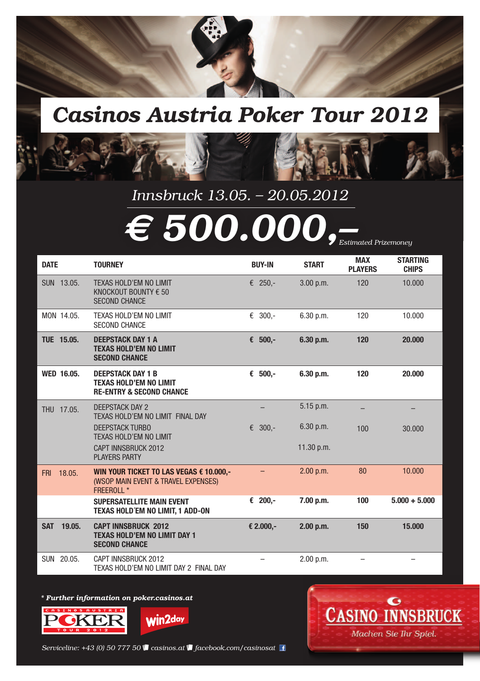

# *Casinos Austria Poker Tour 2012*



| <b>DATE</b>          | <b>TOURNEY</b>                                                                                   | <b>BUY-IN</b> | <b>START</b> | <b>MAX</b><br><b>PLAYERS</b> | <b>STARTING</b><br><b>CHIPS</b> |
|----------------------|--------------------------------------------------------------------------------------------------|---------------|--------------|------------------------------|---------------------------------|
| SUN 13.05.           | TEXAS HOLD'EM NO LIMIT<br>KNOCKOUT BOUNTY € 50<br><b>SECOND CHANCE</b>                           | € 250,-       | 3.00 p.m.    | 120                          | 10.000                          |
| MON 14.05.           | TEXAS HOLD'EM NO LIMIT<br><b>SECOND CHANCE</b>                                                   | € 300,-       | 6.30 p.m.    | 120                          | 10.000                          |
| TUE 15.05.           | <b>DEEPSTACK DAY 1 A</b><br><b>TEXAS HOLD'EM NO LIMIT</b><br><b>SECOND CHANCE</b>                | € $500,-$     | 6.30 p.m.    | 120                          | 20,000                          |
| <b>WED 16.05.</b>    | <b>DEEPSTACK DAY 1 B</b><br><b>TEXAS HOLD'EM NO LIMIT</b><br><b>RE-ENTRY &amp; SECOND CHANCE</b> | € $500,-$     | 6.30 p.m.    | 120                          | 20,000                          |
| THU 17.05.           | <b>DEEPSTACK DAY 2</b><br>TEXAS HOLD'EM NO LIMIT FINAL DAY                                       |               | $5.15$ p.m.  |                              |                                 |
|                      | <b>DEEPSTACK TURBO</b><br>TEXAS HOLD'EM NO LIMIT                                                 | $300 -$<br>€  | 6.30 p.m.    | 100                          | 30.000                          |
|                      | CAPT INNSBRUCK 2012<br><b>PLAYERS PARTY</b>                                                      |               | 11.30 p.m.   |                              |                                 |
| 18.05.<br><b>FRI</b> | WIN YOUR TICKET TO LAS VEGAS € 10.000,-<br>(WSOP MAIN EVENT & TRAVEL EXPENSES)<br>FREEROLL *     |               | $2.00$ p.m.  | 80                           | 10.000                          |
|                      | <b>SUPERSATELLITE MAIN EVENT</b><br>TEXAS HOLD'EM NO LIMIT, 1 ADD-ON                             | € 200,-       | 7.00 p.m.    | 100                          | $5.000 + 5.000$                 |
| <b>SAT</b><br>19.05. | <b>CAPT INNSBRUCK 2012</b><br><b>TEXAS HOLD'EM NO LIMIT DAY 1</b><br><b>SECOND CHANCE</b>        | € 2.000,-     | 2.00 p.m.    | 150                          | 15,000                          |
| SUN 20.05.           | CAPT INNSBRUCK 2012<br>TEXAS HOLD'EM NO LIMIT DAY 2 FINAL DAY                                    |               | 2.00 p.m.    |                              |                                 |

#### *\* Further information on poker.casinos.at*





*Estimated Prizemoney*